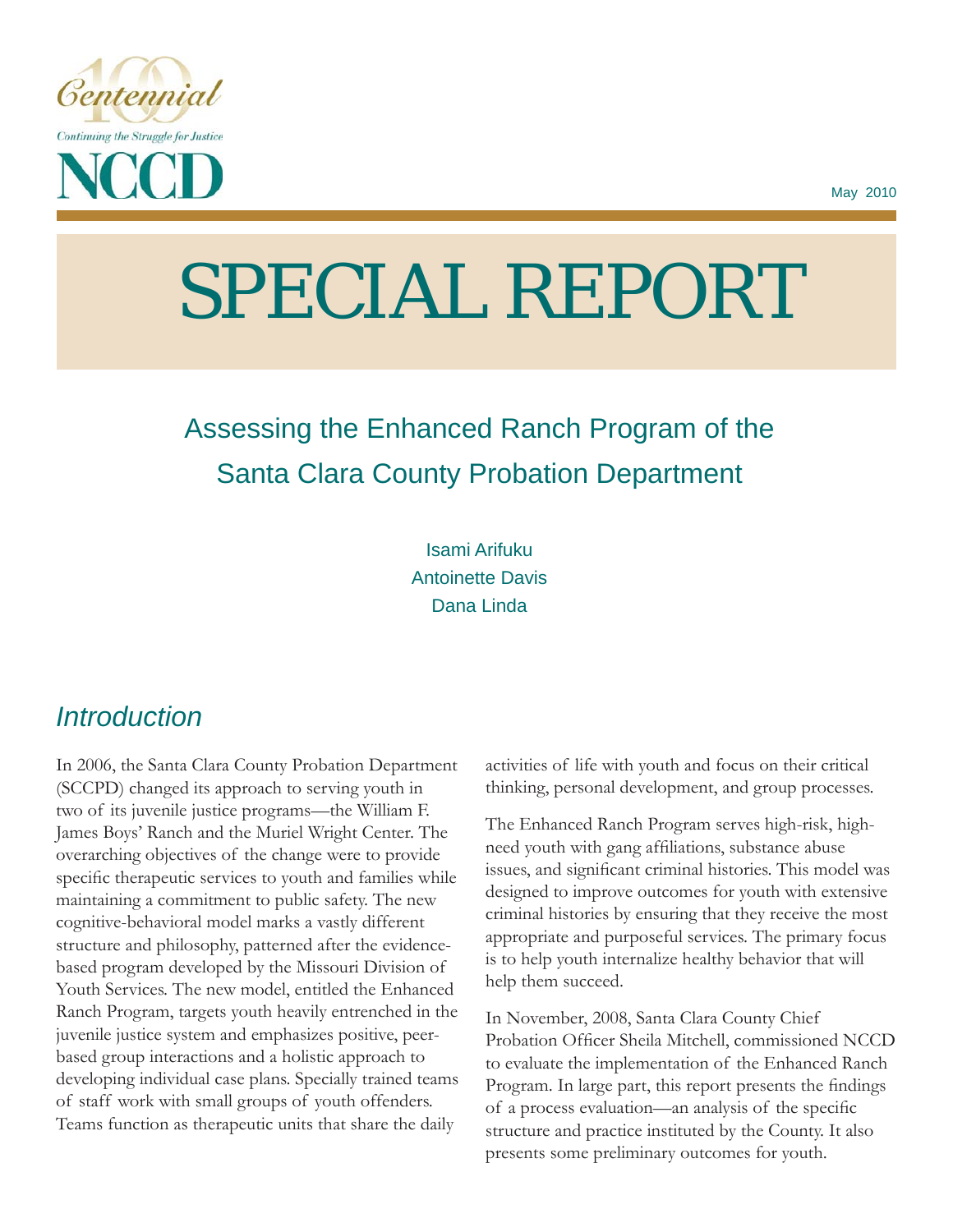

# SPECIAL REPORT

# Assessing the Enhanced Ranch Program of the Santa Clara County Probation Department

Isami Arifuku Antoinette Davis Dana Linda

# *Introduction*

In 2006, the Santa Clara County Probation Department (SCCPD) changed its approach to serving youth in two of its juvenile justice programs—the William F. James Boys' Ranch and the Muriel Wright Center. The overarching objectives of the change were to provide specific therapeutic services to youth and families while maintaining a commitment to public safety. The new cognitive-behavioral model marks a vastly different structure and philosophy, patterned after the evidencebased program developed by the Missouri Division of Youth Services. The new model, entitled the Enhanced Ranch Program, targets youth heavily entrenched in the juvenile justice system and emphasizes positive, peerbased group interactions and a holistic approach to developing individual case plans. Specially trained teams of staff work with small groups of youth offenders. Teams function as therapeutic units that share the daily

activities of life with youth and focus on their critical thinking, personal development, and group processes.

The Enhanced Ranch Program serves high-risk, highneed youth with gang affiliations, substance abuse issues, and significant criminal histories. This model was designed to improve outcomes for youth with extensive criminal histories by ensuring that they receive the most appropriate and purposeful services. The primary focus is to help youth internalize healthy behavior that will help them succeed.

In November, 2008, Santa Clara County Chief Probation Officer Sheila Mitchell, commissioned NCCD to evaluate the implementation of the Enhanced Ranch Program. In large part, this report presents the findings of a process evaluation—an analysis of the specific structure and practice instituted by the County. It also presents some preliminary outcomes for youth.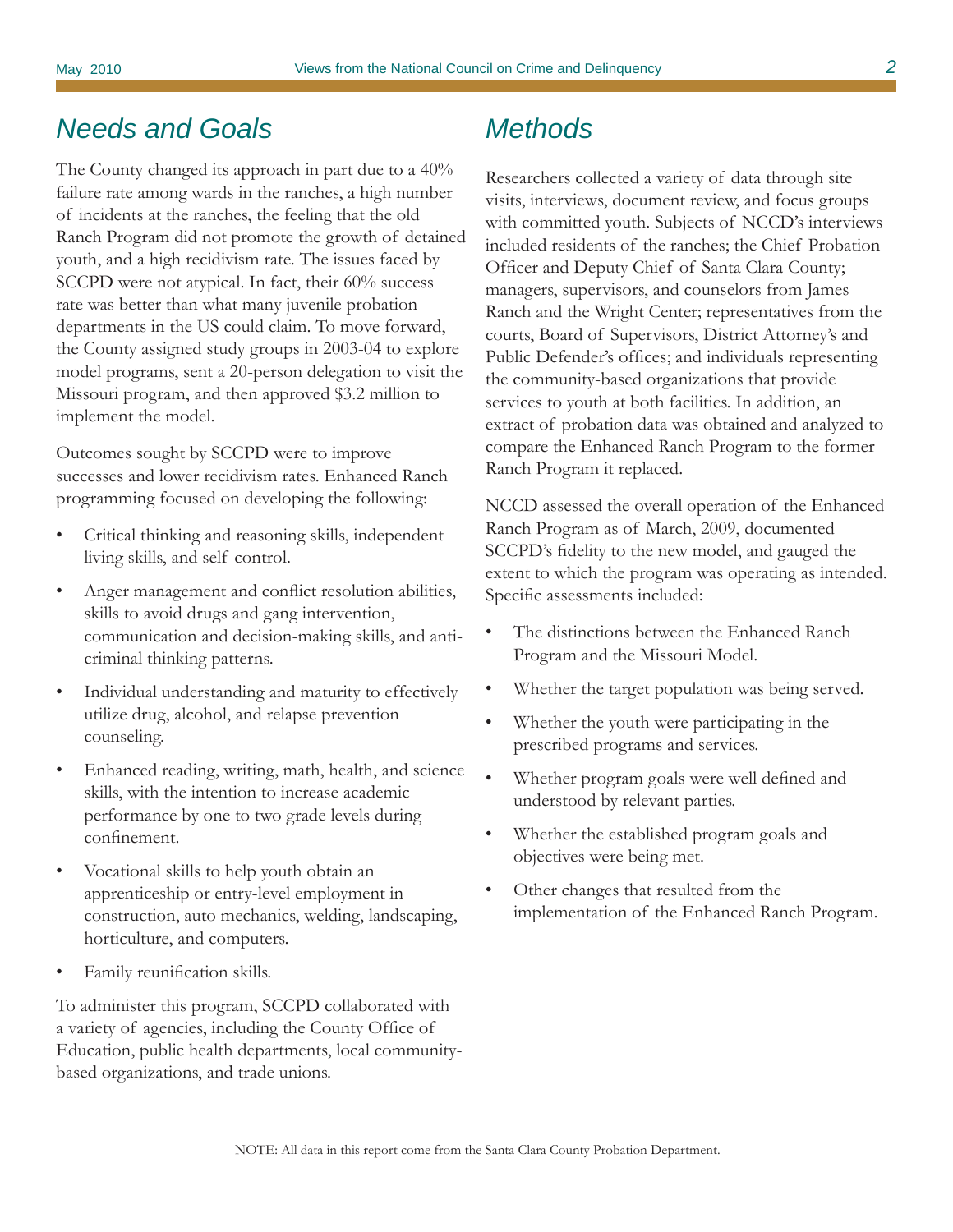# *Needs and Goals*

The County changed its approach in part due to a 40% failure rate among wards in the ranches, a high number of incidents at the ranches, the feeling that the old Ranch Program did not promote the growth of detained youth, and a high recidivism rate. The issues faced by SCCPD were not atypical. In fact, their 60% success rate was better than what many juvenile probation departments in the US could claim. To move forward, the County assigned study groups in 2003-04 to explore model programs, sent a 20-person delegation to visit the Missouri program, and then approved \$3.2 million to implement the model.

Outcomes sought by SCCPD were to improve successes and lower recidivism rates. Enhanced Ranch programming focused on developing the following:

- Critical thinking and reasoning skills, independent living skills, and self control.
- Anger management and conflict resolution abilities, skills to avoid drugs and gang intervention, communication and decision-making skills, and anticriminal thinking patterns.
- Individual understanding and maturity to effectively utilize drug, alcohol, and relapse prevention counseling.
- Enhanced reading, writing, math, health, and science skills, with the intention to increase academic performance by one to two grade levels during confinement.
- Vocational skills to help youth obtain an apprenticeship or entry-level employment in construction, auto mechanics, welding, landscaping, horticulture, and computers.
- Family reunification skills.

To administer this program, SCCPD collaborated with a variety of agencies, including the County Office of Education, public health departments, local communitybased organizations, and trade unions.

# *Methods*

Researchers collected a variety of data through site visits, interviews, document review, and focus groups with committed youth. Subjects of NCCD's interviews included residents of the ranches; the Chief Probation Officer and Deputy Chief of Santa Clara County; managers, supervisors, and counselors from James Ranch and the Wright Center; representatives from the courts, Board of Supervisors, District Attorney's and Public Defender's offices; and individuals representing the community-based organizations that provide services to youth at both facilities. In addition, an extract of probation data was obtained and analyzed to compare the Enhanced Ranch Program to the former Ranch Program it replaced.

NCCD assessed the overall operation of the Enhanced Ranch Program as of March, 2009, documented SCCPD's fidelity to the new model, and gauged the extent to which the program was operating as intended. Specific assessments included:

- The distinctions between the Enhanced Ranch Program and the Missouri Model.
- Whether the target population was being served.
- Whether the youth were participating in the prescribed programs and services.
- Whether program goals were well defined and understood by relevant parties.
- Whether the established program goals and objectives were being met.
- Other changes that resulted from the implementation of the Enhanced Ranch Program.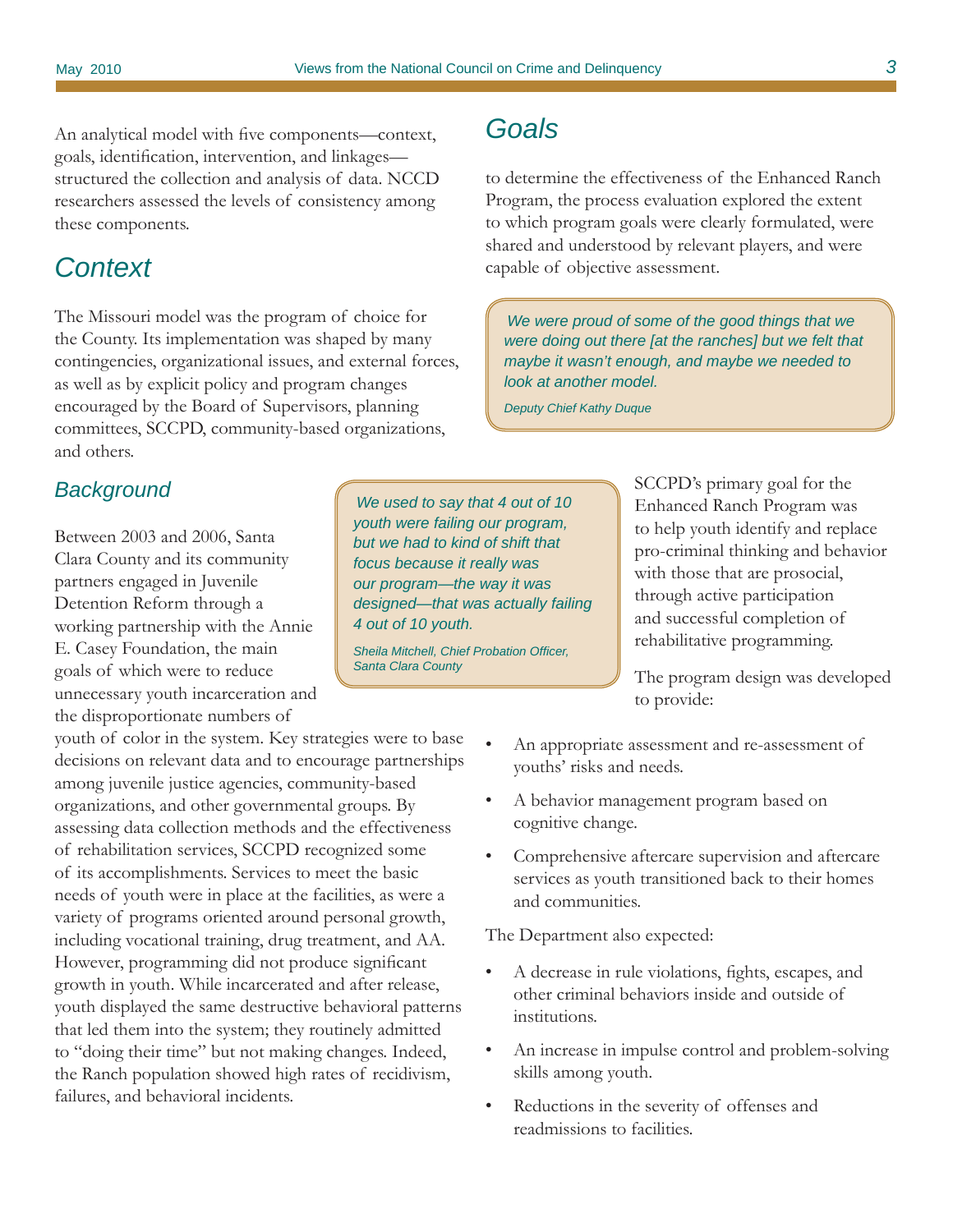An analytical model with five components—context, goals, identification, intervention, and linkages structured the collection and analysis of data. NCCD researchers assessed the levels of consistency among these components.

## *Context*

The Missouri model was the program of choice for the County. Its implementation was shaped by many contingencies, organizational issues, and external forces, as well as by explicit policy and program changes encouraged by the Board of Supervisors, planning committees, SCCPD, community-based organizations, and others.

## *Background*

Between 2003 and 2006, Santa Clara County and its community partners engaged in Juvenile Detention Reform through a working partnership with the Annie E. Casey Foundation, the main goals of which were to reduce unnecessary youth incarceration and the disproportionate numbers of

youth of color in the system. Key strategies were to base decisions on relevant data and to encourage partnerships among juvenile justice agencies, community-based organizations, and other governmental groups. By assessing data collection methods and the effectiveness of rehabilitation services, SCCPD recognized some of its accomplishments. Services to meet the basic needs of youth were in place at the facilities, as were a variety of programs oriented around personal growth, including vocational training, drug treatment, and AA. However, programming did not produce significant growth in youth. While incarcerated and after release, youth displayed the same destructive behavioral patterns that led them into the system; they routinely admitted to "doing their time" but not making changes. Indeed, the Ranch population showed high rates of recidivism, failures, and behavioral incidents.

*Goals*

to determine the effectiveness of the Enhanced Ranch Program, the process evaluation explored the extent to which program goals were clearly formulated, were shared and understood by relevant players, and were capable of objective assessment.

*We were proud of some of the good things that we were doing out there [at the ranches] but we felt that maybe it wasn't enough, and maybe we needed to look at another model.*

*Deputy Chief Kathy Duque*

*We used to say that 4 out of 10 youth were failing our program, but we had to kind of shift that focus because it really was our program—the way it was designed—that was actually failing 4 out of 10 youth.* 

**Sheila Mitchell, Chief Probation Officer,** *Santa Clara County*

SCCPD's primary goal for the Enhanced Ranch Program was to help youth identify and replace pro-criminal thinking and behavior with those that are prosocial, through active participation and successful completion of rehabilitative programming.

The program design was developed to provide:

- An appropriate assessment and re-assessment of youths' risks and needs.
- A behavior management program based on cognitive change.
- Comprehensive aftercare supervision and aftercare services as youth transitioned back to their homes and communities.

The Department also expected:

- A decrease in rule violations, fights, escapes, and other criminal behaviors inside and outside of institutions.
- An increase in impulse control and problem-solving skills among youth.
- Reductions in the severity of offenses and readmissions to facilities.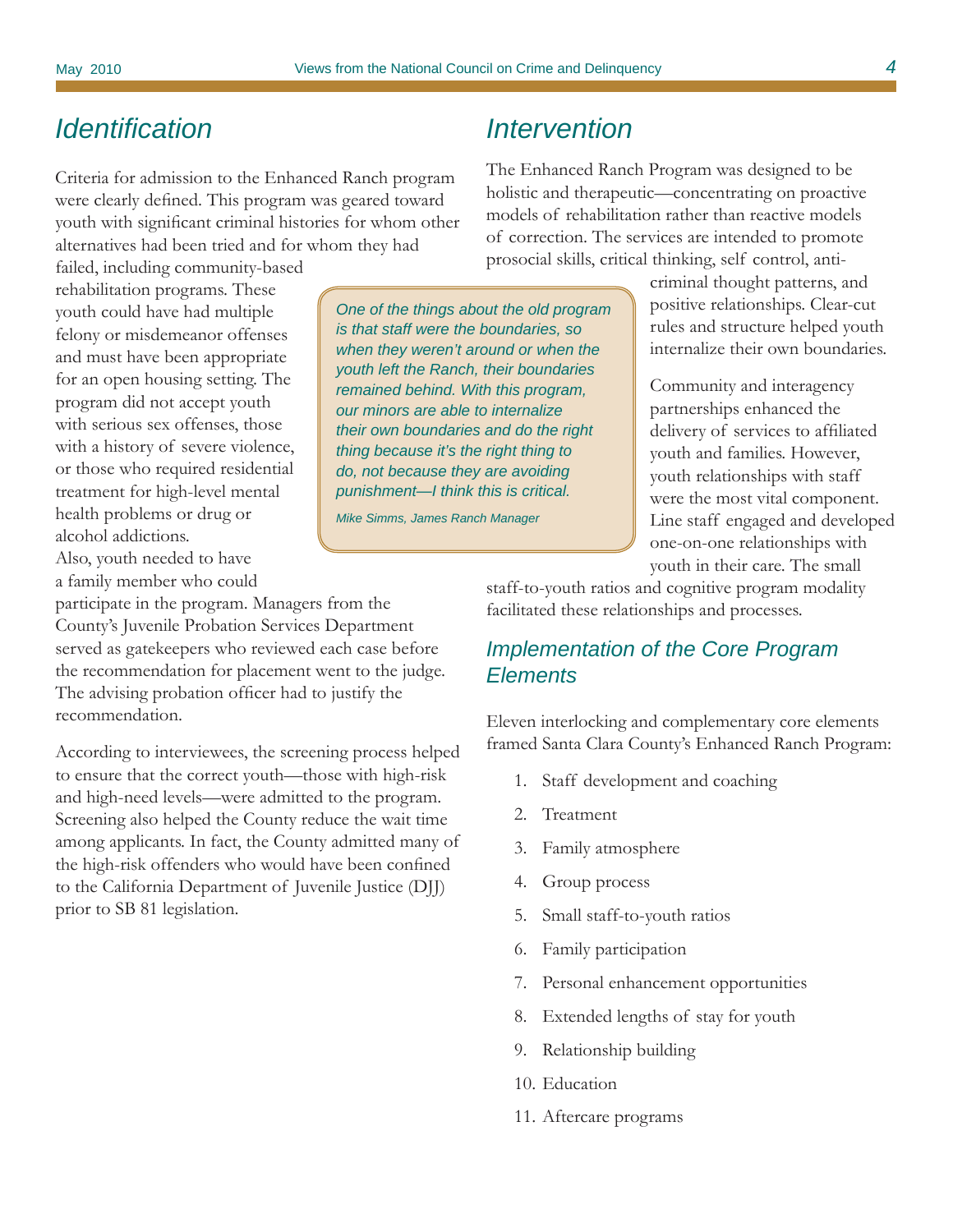# *Identifi cation*

Criteria for admission to the Enhanced Ranch program were clearly defined. This program was geared toward youth with significant criminal histories for whom other alternatives had been tried and for whom they had

failed, including community-based rehabilitation programs. These youth could have had multiple felony or misdemeanor offenses and must have been appropriate for an open housing setting. The program did not accept youth with serious sex offenses, those with a history of severe violence, or those who required residential treatment for high-level mental health problems or drug or alcohol addictions.

Also, youth needed to have a family member who could

participate in the program. Managers from the County's Juvenile Probation Services Department served as gatekeepers who reviewed each case before the recommendation for placement went to the judge. The advising probation officer had to justify the recommendation.

According to interviewees, the screening process helped to ensure that the correct youth—those with high-risk and high-need levels—were admitted to the program. Screening also helped the County reduce the wait time among applicants. In fact, the County admitted many of the high-risk offenders who would have been confined to the California Department of Juvenile Justice (DJJ) prior to SB 81 legislation.

# *Intervention*

The Enhanced Ranch Program was designed to be holistic and therapeutic—concentrating on proactive models of rehabilitation rather than reactive models of correction. The services are intended to promote prosocial skills, critical thinking, self control, anti-

> criminal thought patterns, and positive relationships. Clear-cut rules and structure helped youth internalize their own boundaries.

Community and interagency partnerships enhanced the delivery of services to affiliated youth and families. However, youth relationships with staff were the most vital component. Line staff engaged and developed one-on-one relationships with youth in their care. The small

staff-to-youth ratios and cognitive program modality

facilitated these relationships and processes.

## *Implementation of the Core Program Elements*

Eleven interlocking and complementary core elements framed Santa Clara County's Enhanced Ranch Program:

- 1. Staff development and coaching
- 2. Treatment
- 3. Family atmosphere
- 4. Group process
- 5. Small staff-to-youth ratios
- 6. Family participation
- 7. Personal enhancement opportunities
- 8. Extended lengths of stay for youth
- 9. Relationship building
- 10. Education
- 11. Aftercare programs

*One of the things about the old program is that staff were the boundaries, so when they weren't around or when the youth left the Ranch, their boundaries remained behind. With this program, our minors are able to internalize their own boundaries and do the right thing because it's the right thing to do, not because they are avoiding punishment—I think this is critical.* 

*Mike Simms, James Ranch Manager*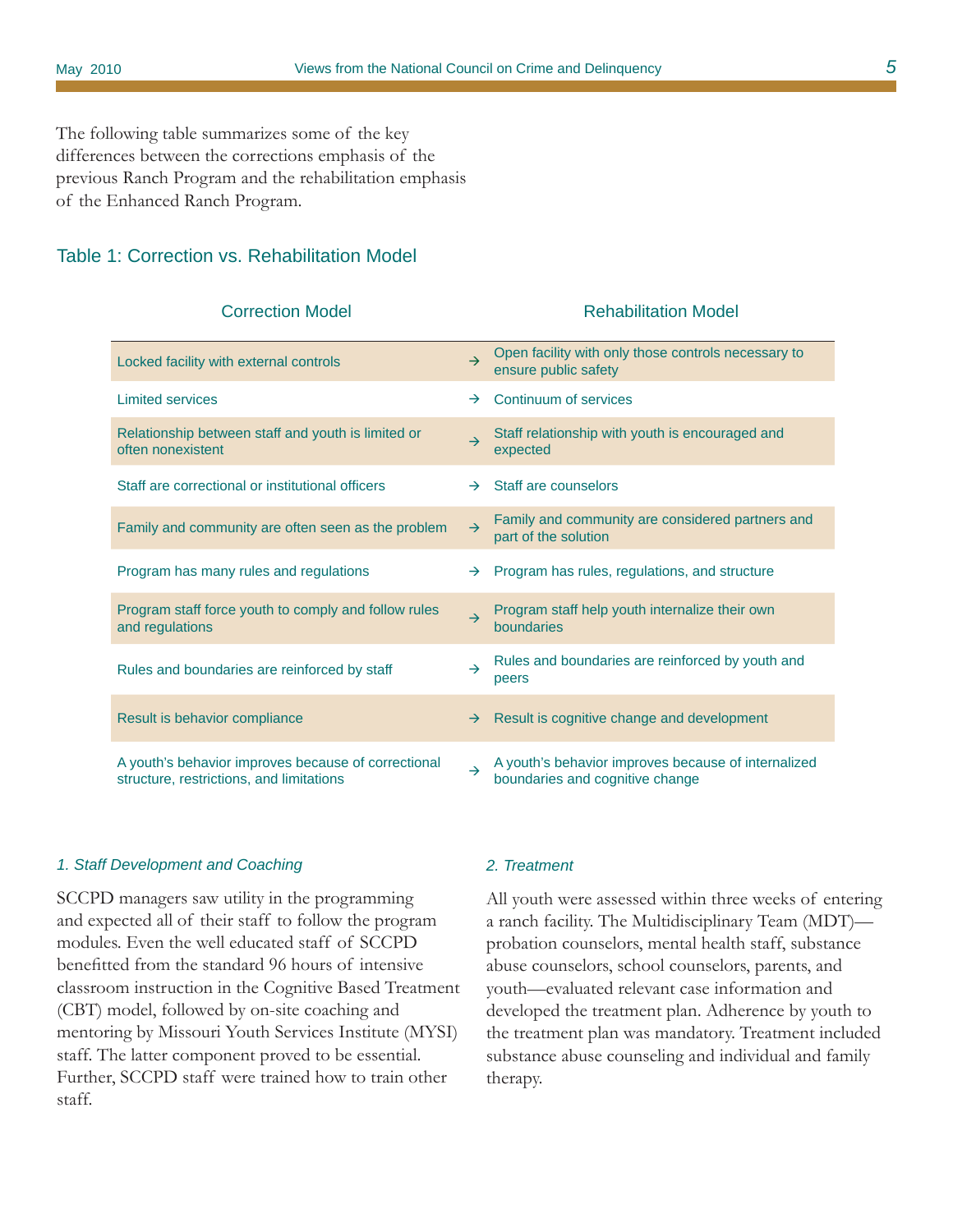The following table summarizes some of the key differences between the corrections emphasis of the previous Ranch Program and the rehabilitation emphasis of the Enhanced Ranch Program.

#### Table 1: Correction vs. Rehabilitation Model

#### Correction Model Rehabilitation Model

| Locked facility with external controls                                                          | $\rightarrow$ | Open facility with only those controls necessary to<br>ensure public safety            |
|-------------------------------------------------------------------------------------------------|---------------|----------------------------------------------------------------------------------------|
| <b>Limited services</b>                                                                         | $\rightarrow$ | Continuum of services                                                                  |
| Relationship between staff and youth is limited or<br>often nonexistent                         | $\rightarrow$ | Staff relationship with youth is encouraged and<br>expected                            |
| Staff are correctional or institutional officers                                                | $\rightarrow$ | Staff are counselors                                                                   |
| Family and community are often seen as the problem                                              | $\rightarrow$ | Family and community are considered partners and<br>part of the solution               |
| Program has many rules and regulations                                                          | $\rightarrow$ | Program has rules, regulations, and structure                                          |
| Program staff force youth to comply and follow rules<br>and regulations                         | $\rightarrow$ | Program staff help youth internalize their own<br>boundaries                           |
| Rules and boundaries are reinforced by staff                                                    | $\rightarrow$ | Rules and boundaries are reinforced by youth and<br>peers                              |
| Result is behavior compliance                                                                   | $\rightarrow$ | Result is cognitive change and development                                             |
| A youth's behavior improves because of correctional<br>structure, restrictions, and limitations | $\rightarrow$ | A youth's behavior improves because of internalized<br>boundaries and cognitive change |

#### *1. Staff Development and Coaching*

SCCPD managers saw utility in the programming and expected all of their staff to follow the program modules. Even the well educated staff of SCCPD benefitted from the standard 96 hours of intensive classroom instruction in the Cognitive Based Treatment (CBT) model, followed by on-site coaching and mentoring by Missouri Youth Services Institute (MYSI) staff. The latter component proved to be essential. Further, SCCPD staff were trained how to train other staff.

#### *2. Treatment*

All youth were assessed within three weeks of entering a ranch facility. The Multidisciplinary Team (MDT) probation counselors, mental health staff, substance abuse counselors, school counselors, parents, and youth—evaluated relevant case information and developed the treatment plan. Adherence by youth to the treatment plan was mandatory. Treatment included substance abuse counseling and individual and family therapy.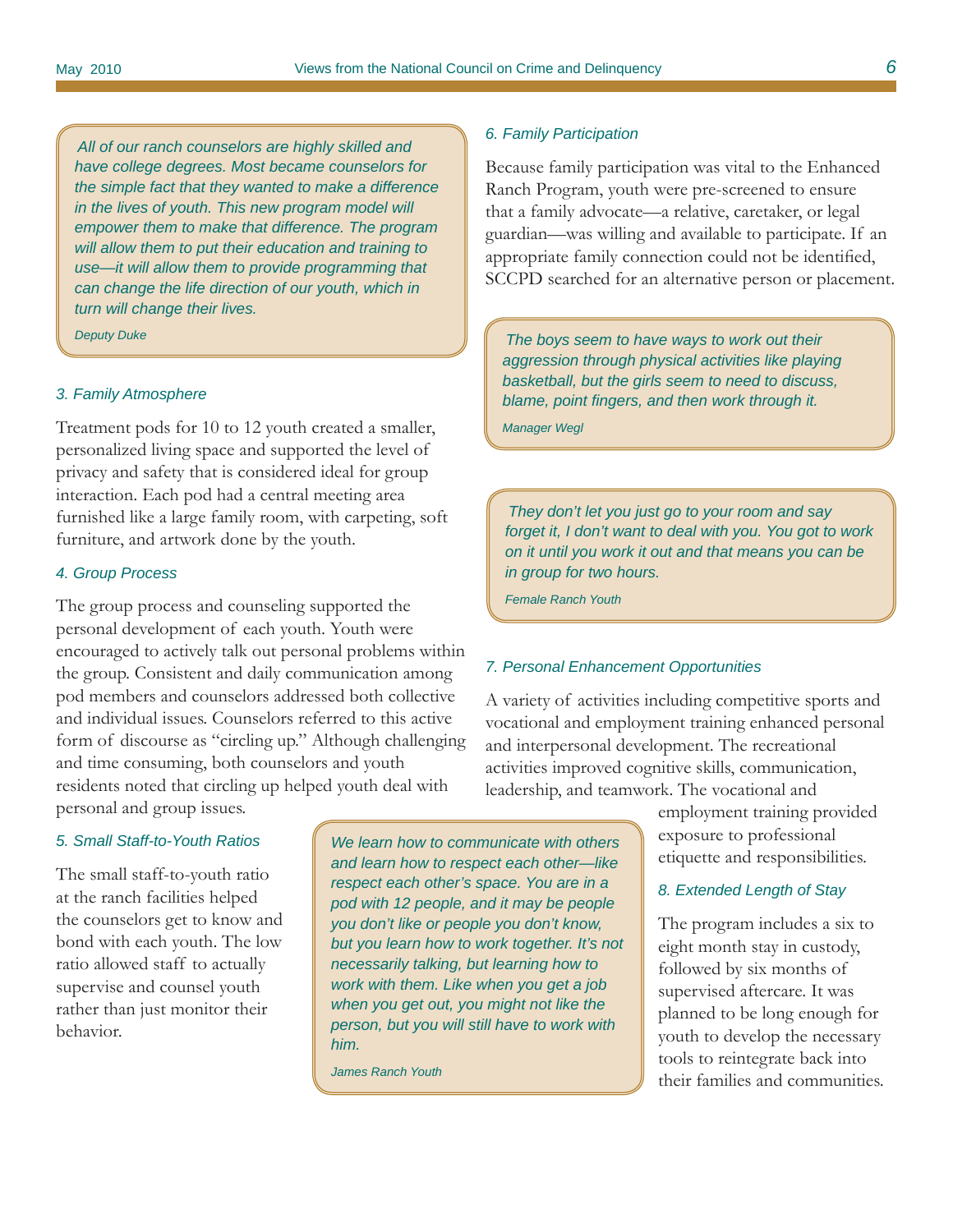*All of our ranch counselors are highly skilled and have college degrees. Most became counselors for the simple fact that they wanted to make a difference in the lives of youth. This new program model will empower them to make that difference. The program will allow them to put their education and training to use—it will allow them to provide programming that can change the life direction of our youth, which in turn will change their lives.* 

#### *3. Family Atmosphere*

Treatment pods for 10 to 12 youth created a smaller, personalized living space and supported the level of privacy and safety that is considered ideal for group interaction. Each pod had a central meeting area furnished like a large family room, with carpeting, soft furniture, and artwork done by the youth.

#### *4. Group Process*

The group process and counseling supported the personal development of each youth. Youth were encouraged to actively talk out personal problems within the group. Consistent and daily communication among pod members and counselors addressed both collective and individual issues. Counselors referred to this active form of discourse as "circling up." Although challenging and time consuming, both counselors and youth residents noted that circling up helped youth deal with personal and group issues.

#### *5. Small Staff-to-Youth Ratios*

The small staff-to-youth ratio at the ranch facilities helped the counselors get to know and bond with each youth. The low ratio allowed staff to actually supervise and counsel youth rather than just monitor their behavior.

*We learn how to communicate with others and learn how to respect each other—like respect each other's space. You are in a pod with 12 people, and it may be people you don't like or people you don't know, but you learn how to work together. It's not necessarily talking, but learning how to work with them. Like when you get a job when you get out, you might not like the person, but you will still have to work with him.*

*James Ranch Youth*

#### *6. Family Participation*

Because family participation was vital to the Enhanced Ranch Program, youth were pre-screened to ensure that a family advocate—a relative, caretaker, or legal guardian—was willing and available to participate. If an appropriate family connection could not be identified, SCCPD searched for an alternative person or placement.

*Deputy Duke The boys seem to have ways to work out their aggression through physical activities like playing basketball, but the girls seem to need to discuss, blame, point fi ngers, and then work through it.* 

*Manager Wegl*

*They don't let you just go to your room and say forget it, I don't want to deal with you. You got to work on it until you work it out and that means you can be in group for two hours.* 

*Female Ranch Youth*

#### *7. Personal Enhancement Opportunities*

A variety of activities including competitive sports and vocational and employment training enhanced personal and interpersonal development. The recreational activities improved cognitive skills, communication, leadership, and teamwork. The vocational and

> employment training provided exposure to professional etiquette and responsibilities.

#### *8. Extended Length of Stay*

The program includes a six to eight month stay in custody, followed by six months of supervised aftercare. It was planned to be long enough for youth to develop the necessary tools to reintegrate back into their families and communities.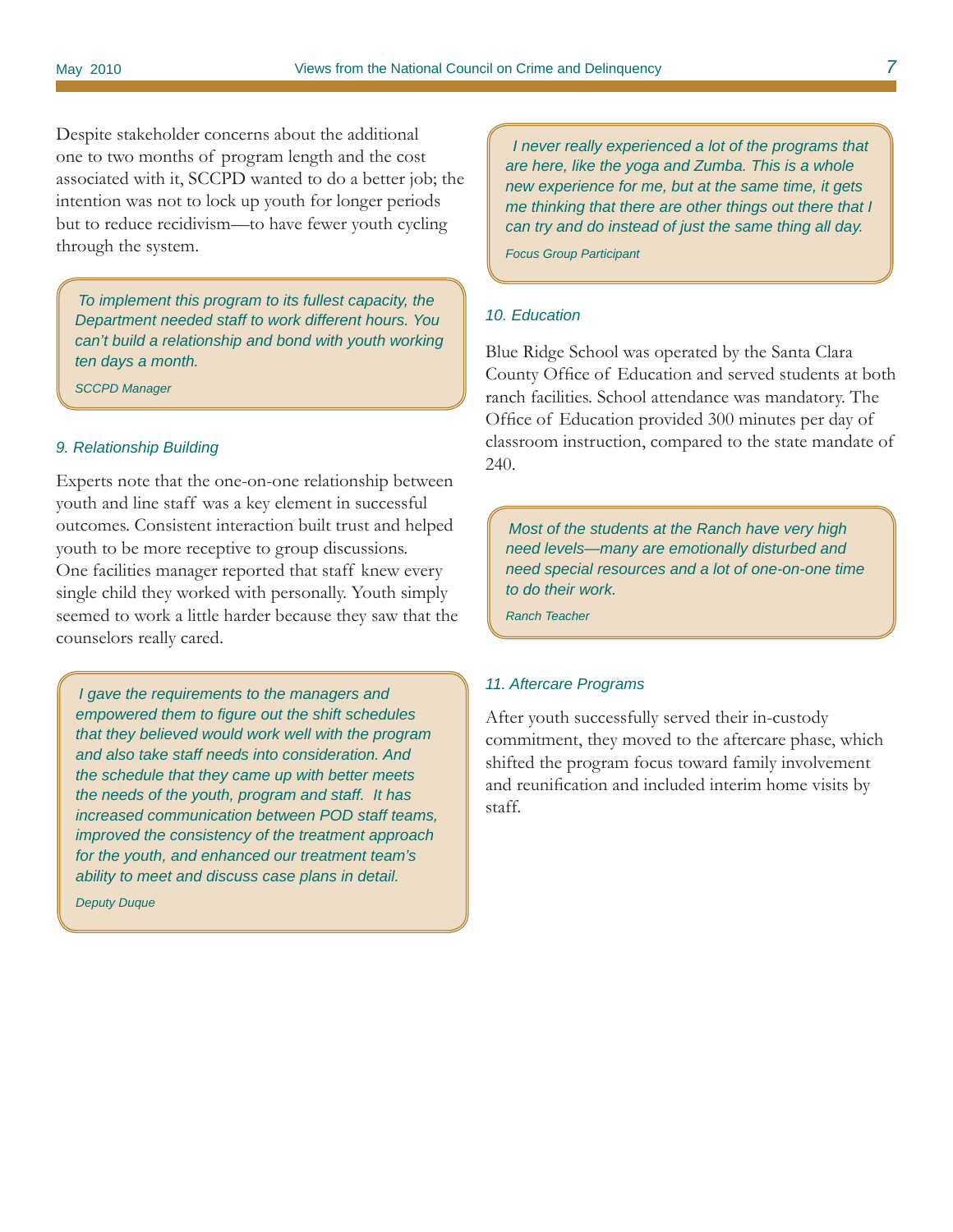Despite stakeholder concerns about the additional one to two months of program length and the cost associated with it, SCCPD wanted to do a better job; the intention was not to lock up youth for longer periods but to reduce recidivism—to have fewer youth cycling through the system.

*To implement this program to its fullest capacity, the Department needed staff to work different hours. You can't build a relationship and bond with youth working ten days a month.* 

*SCCPD Manager* 

#### *9. Relationship Building*

Experts note that the one-on-one relationship between youth and line staff was a key element in successful outcomes. Consistent interaction built trust and helped youth to be more receptive to group discussions. One facilities manager reported that staff knew every single child they worked with personally. Youth simply seemed to work a little harder because they saw that the counselors really cared.

*I gave the requirements to the managers and empowered them to fi gure out the shift schedules that they believed would work well with the program and also take staff needs into consideration. And the schedule that they came up with better meets the needs of the youth, program and staff. It has increased communication between POD staff teams, improved the consistency of the treatment approach for the youth, and enhanced our treatment team's ability to meet and discuss case plans in detail.* 

*Deputy Duque*

 *I never really experienced a lot of the programs that are here, like the yoga and Zumba. This is a whole new experience for me, but at the same time, it gets me thinking that there are other things out there that I can try and do instead of just the same thing all day.* 

*Focus Group Participant*

#### *10. Education*

Blue Ridge School was operated by the Santa Clara County Office of Education and served students at both ranch facilities. School attendance was mandatory. The Office of Education provided 300 minutes per day of classroom instruction, compared to the state mandate of 240.

*Most of the students at the Ranch have very high need levels—many are emotionally disturbed and need special resources and a lot of one-on-one time to do their work.* 

*Ranch Teacher*

#### *11. Aftercare Programs*

After youth successfully served their in-custody commitment, they moved to the aftercare phase, which shifted the program focus toward family involvement and reunification and included interim home visits by staff.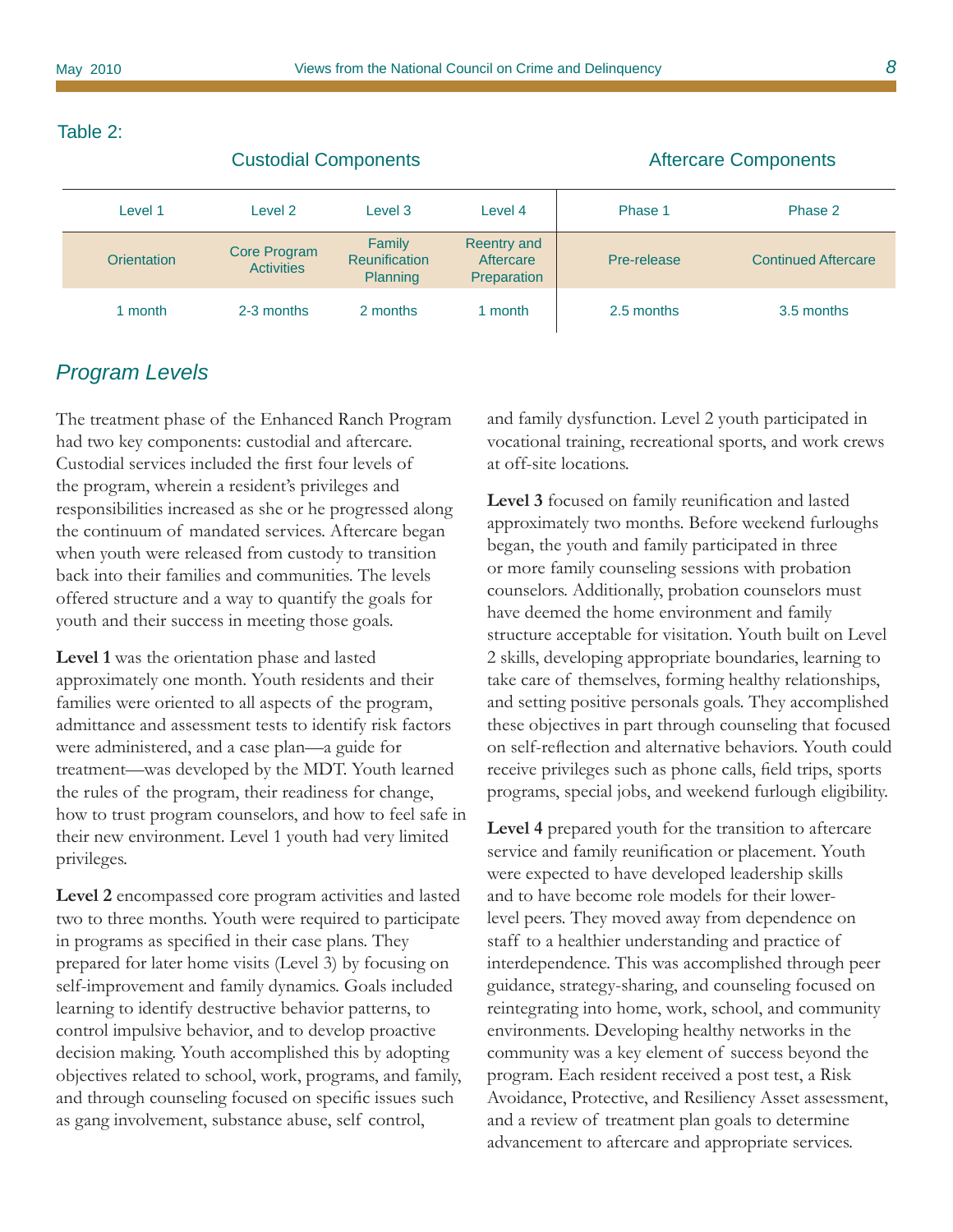Custodial Components Aftercare Components

### Table 2:

| Level 1     | Level 2                                  | Level 3                                    | Level 4                                        | Phase 1     | Phase 2                    |
|-------------|------------------------------------------|--------------------------------------------|------------------------------------------------|-------------|----------------------------|
| Orientation | <b>Core Program</b><br><b>Activities</b> | Family<br><b>Reunification</b><br>Planning | <b>Reentry and</b><br>Aftercare<br>Preparation | Pre-release | <b>Continued Aftercare</b> |
| 1 month     | 2-3 months                               | 2 months                                   | 1 month                                        | 2.5 months  | 3.5 months                 |

## *Program Levels*

The treatment phase of the Enhanced Ranch Program had two key components: custodial and aftercare. Custodial services included the first four levels of the program, wherein a resident's privileges and responsibilities increased as she or he progressed along the continuum of mandated services. Aftercare began when youth were released from custody to transition back into their families and communities. The levels offered structure and a way to quantify the goals for youth and their success in meeting those goals.

**Level 1** was the orientation phase and lasted approximately one month. Youth residents and their families were oriented to all aspects of the program, admittance and assessment tests to identify risk factors were administered, and a case plan—a guide for treatment—was developed by the MDT. Youth learned the rules of the program, their readiness for change, how to trust program counselors, and how to feel safe in their new environment. Level 1 youth had very limited privileges.

**Level 2** encompassed core program activities and lasted two to three months. Youth were required to participate in programs as specified in their case plans. They prepared for later home visits (Level 3) by focusing on self-improvement and family dynamics. Goals included learning to identify destructive behavior patterns, to control impulsive behavior, and to develop proactive decision making. Youth accomplished this by adopting objectives related to school, work, programs, and family, and through counseling focused on specific issues such as gang involvement, substance abuse, self control,

and family dysfunction. Level 2 youth participated in vocational training, recreational sports, and work crews at off-site locations.

**Level 3** focused on family reunification and lasted approximately two months. Before weekend furloughs began, the youth and family participated in three or more family counseling sessions with probation counselors. Additionally, probation counselors must have deemed the home environment and family structure acceptable for visitation. Youth built on Level 2 skills, developing appropriate boundaries, learning to take care of themselves, forming healthy relationships, and setting positive personals goals. They accomplished these objectives in part through counseling that focused on self-reflection and alternative behaviors. Youth could receive privileges such as phone calls, field trips, sports programs, special jobs, and weekend furlough eligibility.

**Level 4** prepared youth for the transition to aftercare service and family reunification or placement. Youth were expected to have developed leadership skills and to have become role models for their lowerlevel peers. They moved away from dependence on staff to a healthier understanding and practice of interdependence. This was accomplished through peer guidance, strategy-sharing, and counseling focused on reintegrating into home, work, school, and community environments. Developing healthy networks in the community was a key element of success beyond the program. Each resident received a post test, a Risk Avoidance, Protective, and Resiliency Asset assessment, and a review of treatment plan goals to determine advancement to aftercare and appropriate services.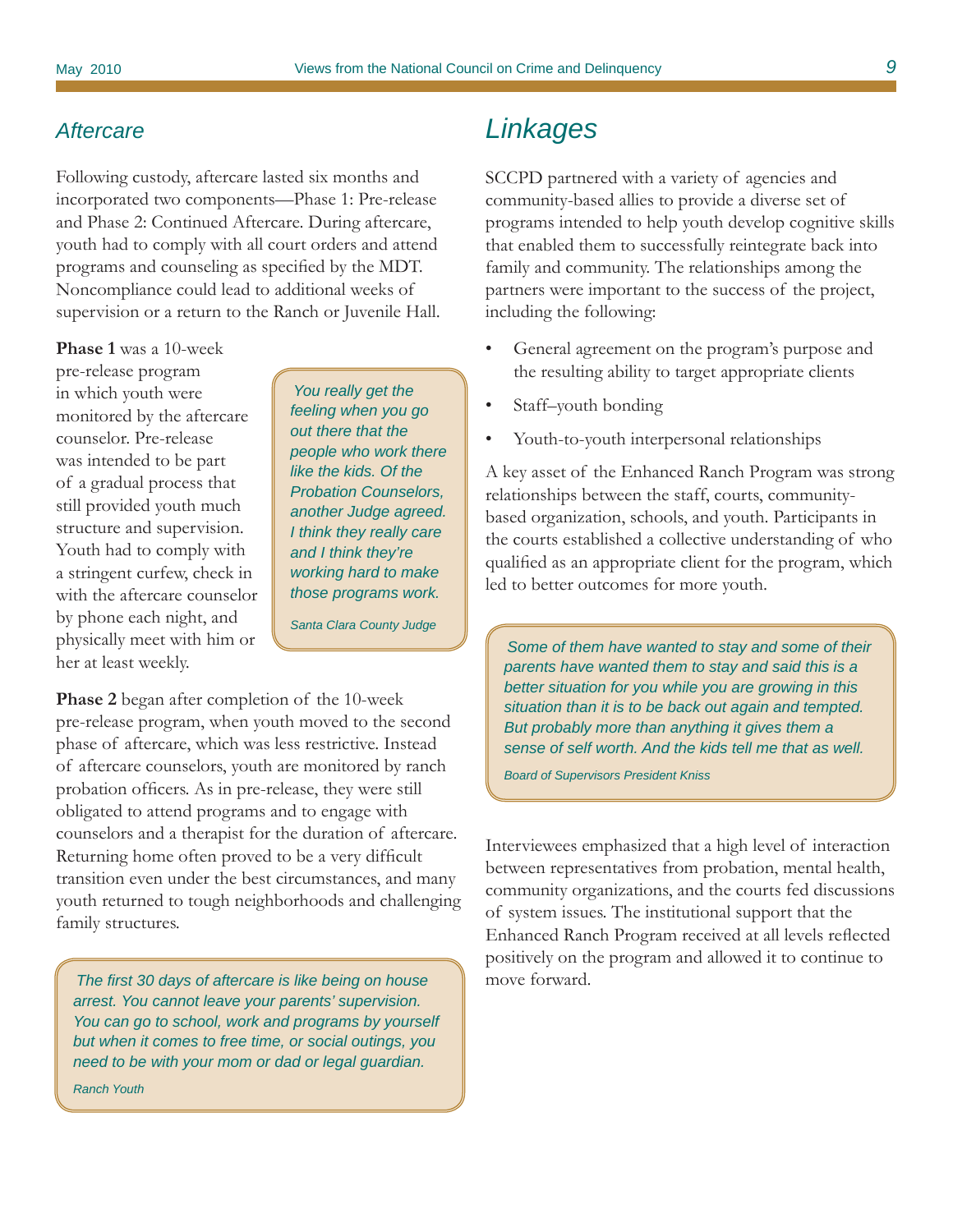## *Aftercare*

Following custody, aftercare lasted six months and incorporated two components—Phase 1: Pre-release and Phase 2: Continued Aftercare. During aftercare, youth had to comply with all court orders and attend programs and counseling as specified by the MDT. Noncompliance could lead to additional weeks of supervision or a return to the Ranch or Juvenile Hall.

**Phase 1** was a 10-week

pre-release program in which youth were monitored by the aftercare counselor. Pre-release was intended to be part of a gradual process that still provided youth much structure and supervision. Youth had to comply with a stringent curfew, check in with the aftercare counselor by phone each night, and physically meet with him or her at least weekly.

*You really get the feeling when you go out there that the people who work there like the kids. Of the Probation Counselors, another Judge agreed. I think they really care and I think they're working hard to make those programs work.*

*Santa Clara County Judge*

**Phase 2** began after completion of the 10-week pre-release program, when youth moved to the second phase of aftercare, which was less restrictive. Instead of aftercare counselors, youth are monitored by ranch probation officers. As in pre-release, they were still obligated to attend programs and to engage with counselors and a therapist for the duration of aftercare. Returning home often proved to be a very difficult transition even under the best circumstances, and many youth returned to tough neighborhoods and challenging family structures.

*The fi rst 30 days of aftercare is like being on house arrest. You cannot leave your parents' supervision. You can go to school, work and programs by yourself but when it comes to free time, or social outings, you need to be with your mom or dad or legal guardian. Ranch Youth*

# *Linkages*

SCCPD partnered with a variety of agencies and community-based allies to provide a diverse set of programs intended to help youth develop cognitive skills that enabled them to successfully reintegrate back into family and community. The relationships among the partners were important to the success of the project, including the following:

- General agreement on the program's purpose and the resulting ability to target appropriate clients
- Staff–youth bonding
- Youth-to-youth interpersonal relationships

A key asset of the Enhanced Ranch Program was strong relationships between the staff, courts, communitybased organization, schools, and youth. Participants in the courts established a collective understanding of who qualified as an appropriate client for the program, which led to better outcomes for more youth.

*Some of them have wanted to stay and some of their parents have wanted them to stay and said this is a better situation for you while you are growing in this situation than it is to be back out again and tempted. But probably more than anything it gives them a sense of self worth. And the kids tell me that as well.* 

*Board of Supervisors President Kniss*

Interviewees emphasized that a high level of interaction between representatives from probation, mental health, community organizations, and the courts fed discussions of system issues. The institutional support that the Enhanced Ranch Program received at all levels reflected positively on the program and allowed it to continue to move forward.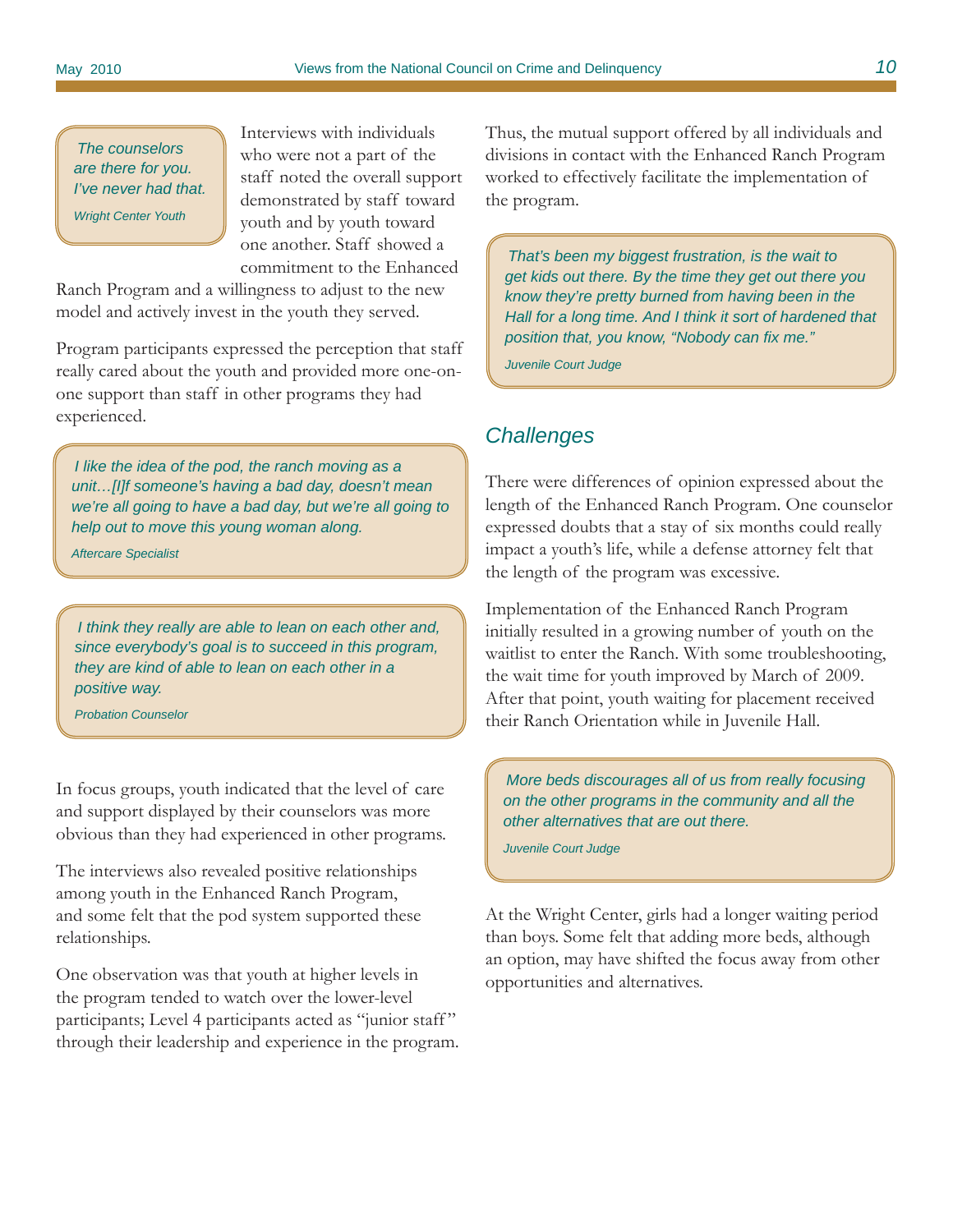*The counselors are there for you. I've never had that. Wright Center Youth*

Interviews with individuals who were not a part of the staff noted the overall support demonstrated by staff toward youth and by youth toward one another. Staff showed a commitment to the Enhanced

Ranch Program and a willingness to adjust to the new model and actively invest in the youth they served.

Program participants expressed the perception that staff really cared about the youth and provided more one-onone support than staff in other programs they had experienced.

*I like the idea of the pod, the ranch moving as a unit…[I]f someone's having a bad day, doesn't mean we're all going to have a bad day, but we're all going to help out to move this young woman along.* 

*Aftercare Specialist*

*I think they really are able to lean on each other and, since everybody's goal is to succeed in this program, they are kind of able to lean on each other in a positive way.* 

*Probation Counselor*

In focus groups, youth indicated that the level of care and support displayed by their counselors was more obvious than they had experienced in other programs.

The interviews also revealed positive relationships among youth in the Enhanced Ranch Program, and some felt that the pod system supported these relationships.

One observation was that youth at higher levels in the program tended to watch over the lower-level participants; Level 4 participants acted as "junior staff" through their leadership and experience in the program. Thus, the mutual support offered by all individuals and divisions in contact with the Enhanced Ranch Program worked to effectively facilitate the implementation of the program.

*That's been my biggest frustration, is the wait to get kids out there. By the time they get out there you know they're pretty burned from having been in the Hall for a long time. And I think it sort of hardened that position that, you know, "Nobody can fix me."* 

*Juvenile Court Judge*

## *Challenges*

There were differences of opinion expressed about the length of the Enhanced Ranch Program. One counselor expressed doubts that a stay of six months could really impact a youth's life, while a defense attorney felt that the length of the program was excessive.

Implementation of the Enhanced Ranch Program initially resulted in a growing number of youth on the waitlist to enter the Ranch. With some troubleshooting, the wait time for youth improved by March of 2009. After that point, youth waiting for placement received their Ranch Orientation while in Juvenile Hall.

*More beds discourages all of us from really focusing on the other programs in the community and all the other alternatives that are out there.* 

*Juvenile Court Judge*

At the Wright Center, girls had a longer waiting period than boys. Some felt that adding more beds, although an option, may have shifted the focus away from other opportunities and alternatives.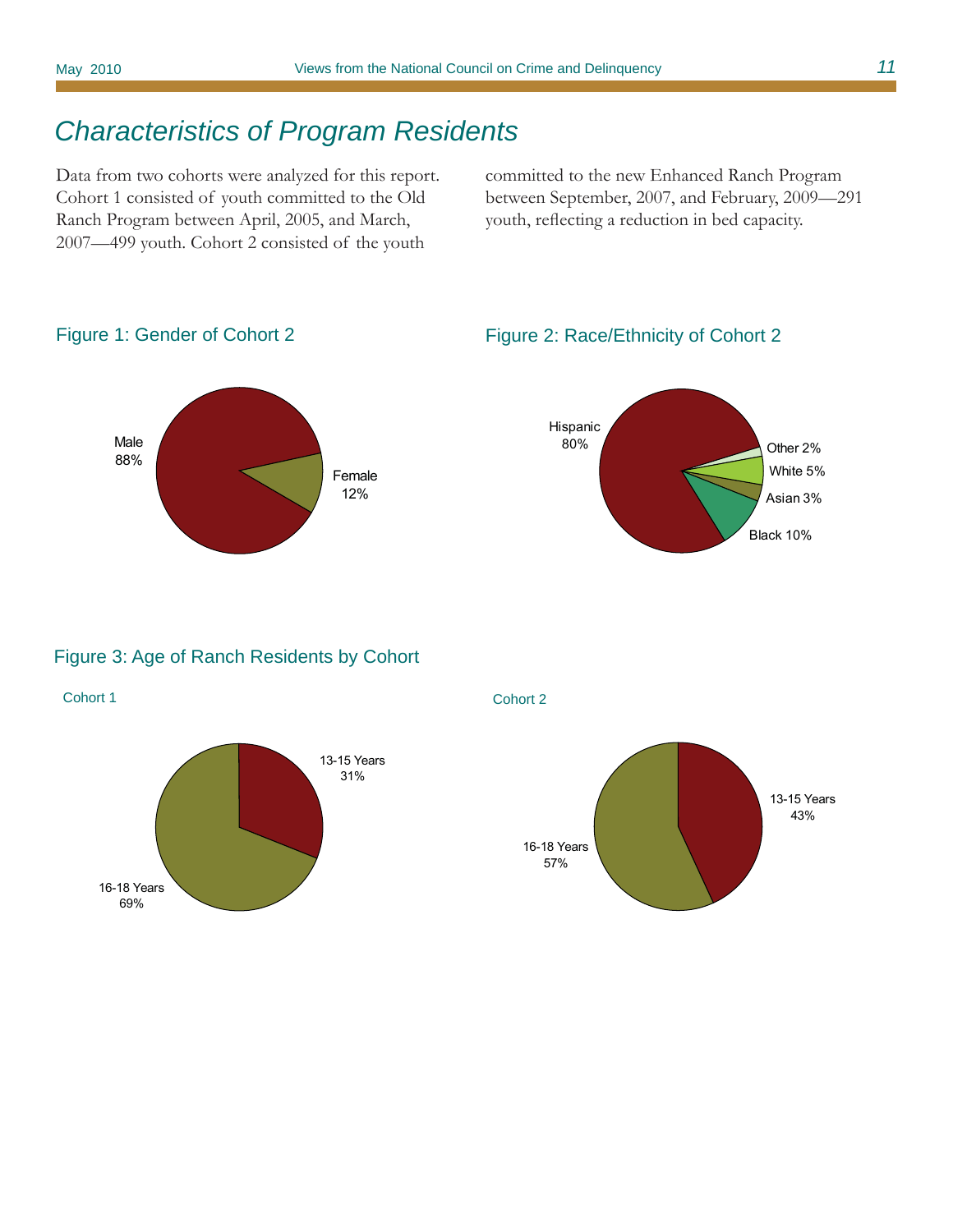# *Characteristics of Program Residents*

Data from two cohorts were analyzed for this report. Cohort 1 consisted of youth committed to the Old Ranch Program between April, 2005, and March, 2007—499 youth. Cohort 2 consisted of the youth

committed to the new Enhanced Ranch Program between September, 2007, and February, 2009—291 youth, reflecting a reduction in bed capacity.



Figure 1: Gender of Cohort 2

#### Figure 2: Race/Ethnicity of Cohort 2



#### Figure 3: Age of Ranch Residents by Cohort



Cohort 1 Cohort 2

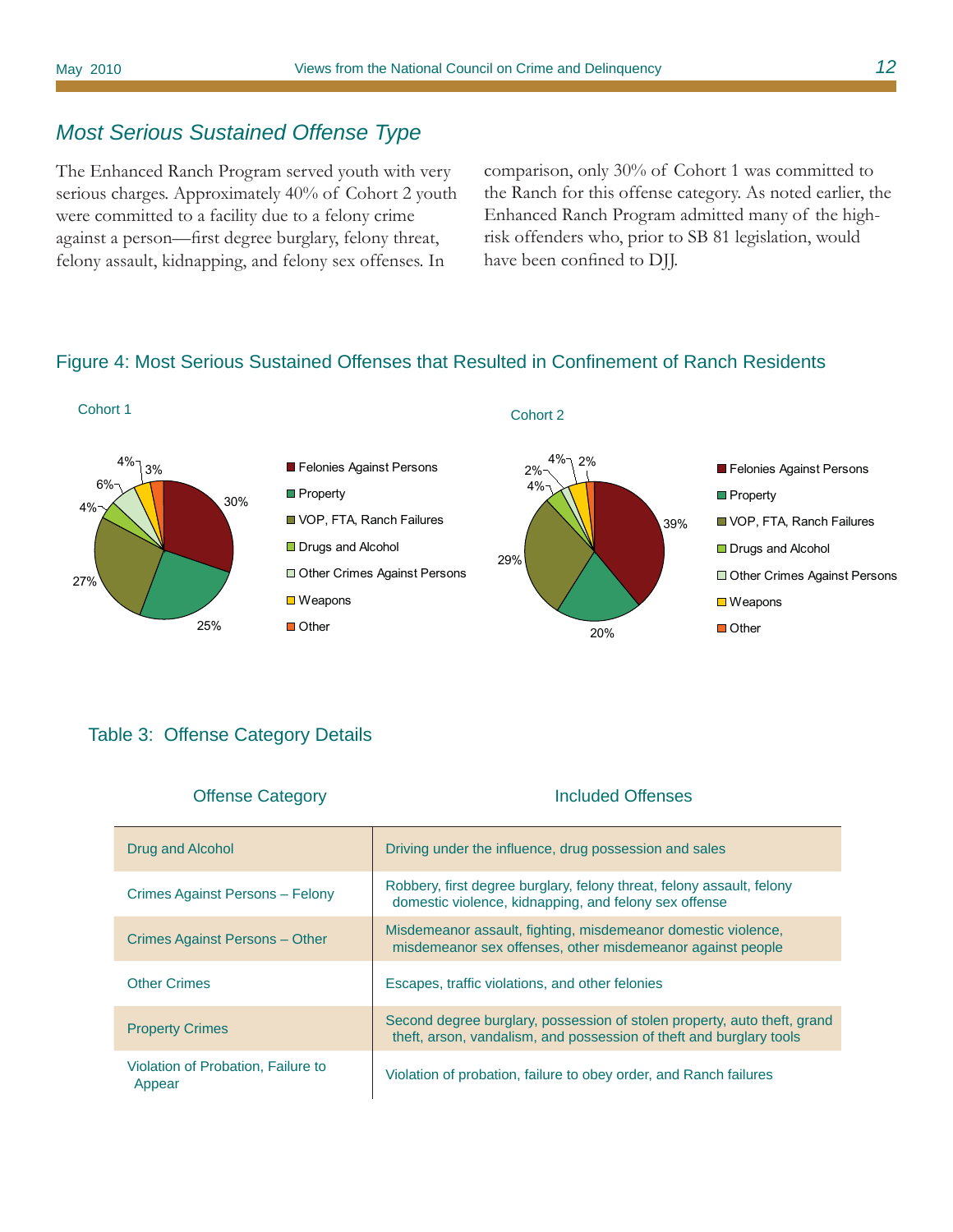## *Most Serious Sustained Offense Type*

The Enhanced Ranch Program served youth with very serious charges. Approximately 40% of Cohort 2 youth were committed to a facility due to a felony crime against a person—first degree burglary, felony threat, felony assault, kidnapping, and felony sex offenses. In

comparison, only 30% of Cohort 1 was committed to the Ranch for this offense category. As noted earlier, the Enhanced Ranch Program admitted many of the highrisk offenders who, prior to SB 81 legislation, would have been confined to DJJ.

## Figure 4: Most Serious Sustained Offenses that Resulted in Confinement of Ranch Residents



#### Table 3: Offense Category Details

| <b>Offense Category</b>                      | Included Offenses                                                                                                                               |
|----------------------------------------------|-------------------------------------------------------------------------------------------------------------------------------------------------|
| Drug and Alcohol                             | Driving under the influence, drug possession and sales                                                                                          |
| Crimes Against Persons - Felony              | Robbery, first degree burglary, felony threat, felony assault, felony<br>domestic violence, kidnapping, and felony sex offense                  |
| Crimes Against Persons - Other               | Misdemeanor assault, fighting, misdemeanor domestic violence,<br>misdemeanor sex offenses, other misdemeanor against people                     |
| <b>Other Crimes</b>                          | Escapes, traffic violations, and other felonies                                                                                                 |
| <b>Property Crimes</b>                       | Second degree burglary, possession of stolen property, auto theft, grand<br>theft, arson, vandalism, and possession of theft and burglary tools |
| Violation of Probation, Failure to<br>Appear | Violation of probation, failure to obey order, and Ranch failures                                                                               |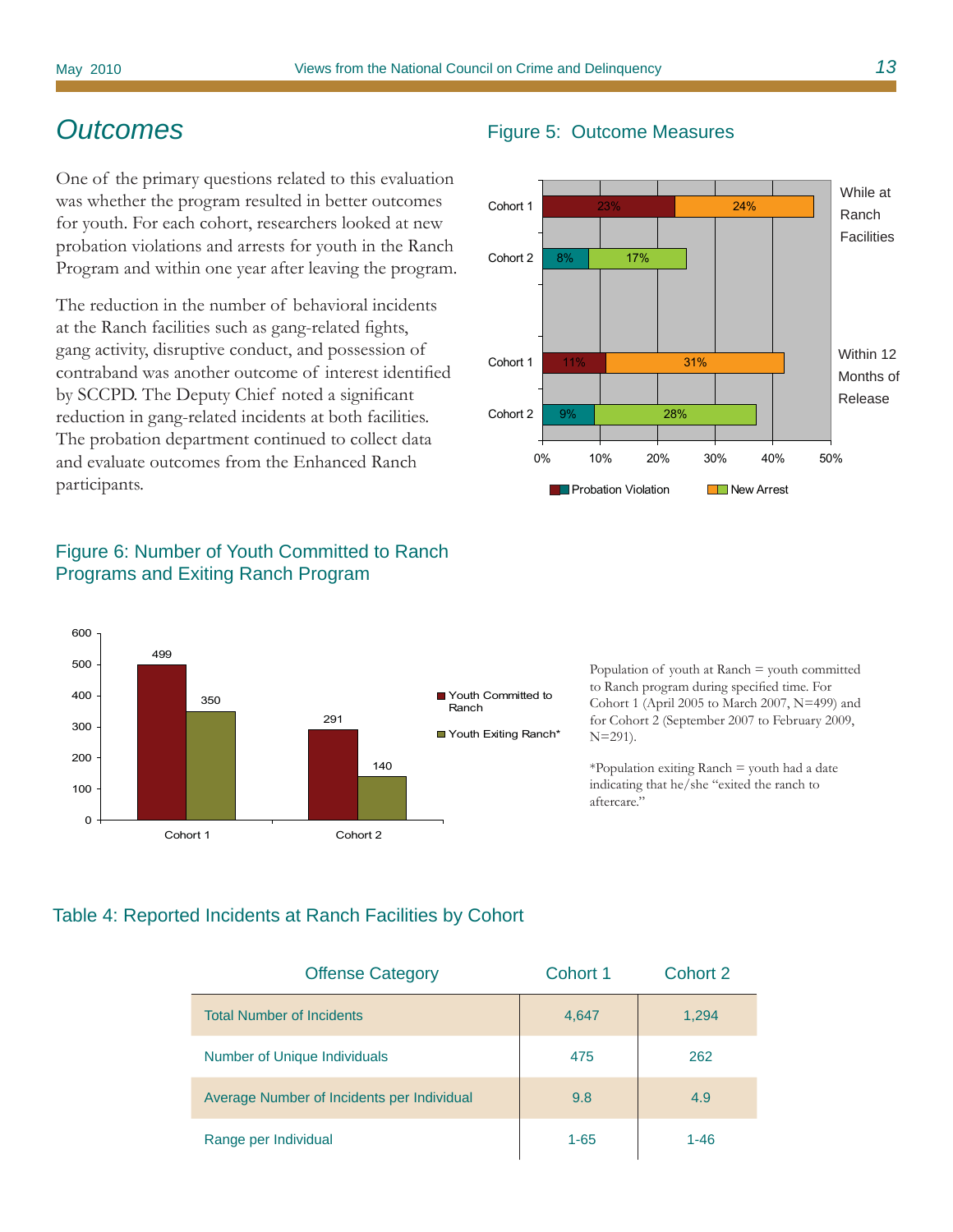## *Outcomes*

One of the primary questions related to this evaluation was whether the program resulted in better outcomes for youth. For each cohort, researchers looked at new probation violations and arrests for youth in the Ranch Program and within one year after leaving the program.

The reduction in the number of behavioral incidents at the Ranch facilities such as gang-related fights, gang activity, disruptive conduct, and possession of contraband was another outcome of interest identified by SCCPD. The Deputy Chief noted a significant reduction in gang-related incidents at both facilities. The probation department continued to collect data and evaluate outcomes from the Enhanced Ranch participants.

## Figure 6: Number of Youth Committed to Ranch Programs and Exiting Ranch Program



Population of youth at  $\text{Rank} = \text{youth}$  committed to Ranch program during specified time. For Cohort 1 (April 2005 to March 2007, N=499) and for Cohort 2 (September 2007 to February 2009, N=291).

\*Population exiting Ranch = youth had a date indicating that he/she "exited the ranch to aftercare."

#### Table 4: Reported Incidents at Ranch Facilities by Cohort

| <b>Offense Category</b>                    | Cohort 1 | Cohort 2 |
|--------------------------------------------|----------|----------|
| <b>Total Number of Incidents</b>           | 4,647    | 1,294    |
| <b>Number of Unique Individuals</b>        | 475      | 262      |
| Average Number of Incidents per Individual | 9.8      | 4.9      |
| Range per Individual                       | $1 - 65$ | 1-46     |

#### Figure 5: Outcome Measures